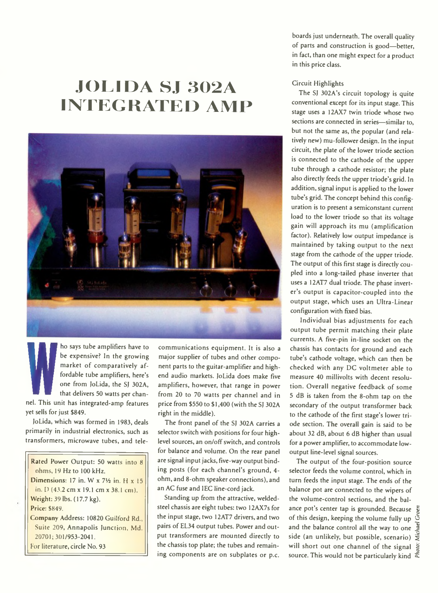# **JOLIDA SJ 302A INTEGRATED AMP**



**WE ARE SOMETHER 1989 ON THE ST SOLAR STATES SOMETHER 1999 ON THE STATE STATES IN THE STATE STATES IN A STATE STATE STATES OF STATES IN A STATE STATE STATES OF STATES STATES IN A STATE STATES OF STATES STATES IN A STATE ST** ho says tube amplifiers have to be expensive? In the growing market of comparatively affordable tube amplifiers, here's one from JoLida, the SJ 302A, that delivers 50 watts per chanyet sells for just \$849.

JoLida, which was formed in 1983, deals primarily in industrial electronics, such as transformers, microwave tubes, and tele-

Rated Rower Output: 50 watts into 8 ohms, 19 Hz to 100 kHz. Dimensions: 17 in. W  $x$  7 $\frac{1}{2}$  in. H  $x$  15 in. D (43.2 cm x 19.1 cm x 38.1 cm). Weight: 39 lbs. (17.7 kg). Price: \$849. Company Address: 10820 Guilford Rd., Suite 209, Annapolis Junction, Md. 20701:301/953-2041. For literature, circle No. 93

communications equipment. It is also a major supplier of tubes and other component parts to the guitar-amplifier and highend audio markets. JoLida does make five amplifiers, however, that range in power from 20 to 70 watts per channel and in price from \$550 to \$1,400 (with the SJ 302A right in the middle).

The front panel of the SJ 302A carries a selector switch with positions for four highlevel sources, an on/off switch, and controls for balance and volume. On the rear panel are signal input jacks, five-way output binding posts (for each channel's ground, 4 ohm, and 8-ohm speaker connections), and an AC fuse and IEC line-cord jack.

Standing up from the attractive, weldedsteel chassis are eight tubes: two 12AX7s for the input stage, two 12AT7 drivers, and two pairs of EL34 output tubes. Power and output transformers are mounted directly to the chassis top plate; the tubes and remaining components are on subplates or p.c.

boards just underneath. The overall quality of parts and construction is good—better, in fact, than one might expect for a product in this price class.

#### Circuit Highlights

The SJ 302A's circuit topology is quite conventional except for its input stage. This stage uses a 12AX7 twin triode whose two sections are connected in series—similar to, but not the same as, the popular (and relatively new) mu-follower design. In the input circuit, the plate of the lower triode section is connected to the cathode of the upper tube through a cathode resistor; the plate also directly feeds the upper triode's grid. In addition, signal input is applied to the lower tube's grid. The concept behind this configuration is to present a semiconstant current load to the lower triode so that its voltage gain will approach its mu (amplification factor). Relatively low output impedance is maintained by taking output to the next stage from the cathode of the upper triode. The output of this first stage is directly coupled into a long-tailed phase inverter that uses a 12AT7 dual triode. The phase inverter's output is capacitor-coupled into the output stage, which uses an Ultra-Linear configuration with fixed bias.

Individual bias adjustments for each output tube permit matching their plate currents. A five-pin in-line socket on the chassis has contacts for ground and each tube's cathode voltage, which can then be checked with any DC voltmeter able to measure 40 millivolts with decent resolution. Overall negative feedback of some 5 dB is taken from the 8-ohm tap on the secondary of the output transformer back to the cathode of the first stage's lower triode section. The overall gain is said to be about 32 dB, about 6 dB higher than usual for a power amplifier, to accommodate lowoutput line-level signal sources.

The output of the four-position source selector feeds the volume control, which in turn feeds the input stage. The ends of the balance pot are connected to the wipers of the volume-control sections, and the balance pot's center tap is grounded. Because of this design, keeping the volume fully up and the balance control all the way to one side (an unlikely, but possible, scenario)  $\ddot{\ddot{\Sigma}}$ will short out one channel of the signal source. This would not be particularly kind  $\tilde{\xi}$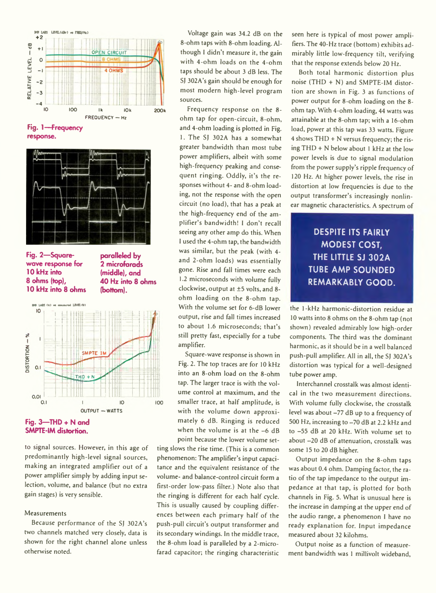

**Fig. 1— Frequency response.**



**Fig. 2— Squarewave response for 10 kHz into 8 ohms (top), 10 kHz into 8 ohms** **paralleled by 2 microfarads (middle), and 40 Hz into 8 ohms (bottom).**



## **SMPTE-IM distortion.**

to signal sources. However, in this age of predominantly high-level signal sources, making an integrated amplifier out of a power amplifier simply by adding input selection, volume, and balance (but no extra gain stages) is very sensible.

#### Measurements

Because performance of the SJ 302A's two channels matched very closely, data is shown for the right channel alone unless otherwise noted.

Voltage gain was 34.2 dB on the 8-ohm taps with 8-ohm loading. Although I didn't measure it, the gain with 4-ohm loads on the 4-ohm taps should be about 3 dB less. The SJ 302A's gain should be enough for most modern high-level program sources.

Frequency response on the 8 ohm tap for open-circuit, 8-ohm, and 4-ohm loading is plotted in Fig. 1. The SJ 302A has a somewhat greater bandwidth than most tube power amplifiers, albeit with some high-frequency peaking and consequent ringing. Oddly, it's the responses without 4- and 8-ohm loading, not the response with the open circuit (no load), that has a peak at the high-frequency end of the amplifier's bandwidth! I don't recall seeing any other amp do this. When I used the 4-ohm tap, the bandwidth was similar, but the peak (with 4 and 2-ohm loads) was essentially gone. Rise and fall times were each 1.2 microseconds with volume fully clockwise, output at ±5 volts, and 8 ohm loading on the 8-ohm tap. With the volume set for 6-dB lower output, rise and fall times increased to about 1.6 microseconds; that's still pretty fast, especially for a tube amplifier.

Square-wave response is shown in Fig. 2. The top traces are for 10 kHz into an 8-ohm load on the 8-ohm tap. The larger trace is with the volume control at maximum, and the smaller trace, at half amplitude, is with the volume down approximately 6 dB. Ringing is reduced when the volume is at the -6 dB point because the lower volume set-

ting slows the rise time. (This is a common phenomenon: The amplifier's input capacitance and the equivalent resistance of the volume- and balance-control circuit form a first-order low-pass filter.) Note also that the ringing is different for each half cycle. This is usually caused by coupling differences between each primary half of the push-pull circuit's output transformer and its secondary windings. In the middle trace, the 8-ohm load is paralleled by a 2-microfarad capacitor; the ringing characteristic

seen here is typical of most power amplifiers. The 40-Hz trace (bottom) exhibits admirably little low-frequency tilt, verifying that the response extends below 20 Hz.

Both total harmonic distortion plus noise (THD + N) and SMPTE-IM distortion are shown in Fig. 3 as functions of power output for 8-ohm loading on the 8 ohm tap. With 4-ohm loading, 44 watts was attainable at the 8-ohm tap; with a 16-ohm load, ppwer at this tap was 33 watts. Figure 4 shows THD + N versus frequency; the rising THD + N below about 1 kHz at the low power levels is due to signal modulation from the power supply's ripple frequency of 120 Hz. At higher power levels, the rise in distortion at low frequencies is due to the output transformer's increasingly nonlinear magnetic characteristics. A spectrum of

### **DESPITE ITS FAIRLY MODEST COST, THE LITTLE SJ 302A TUBE AMP SOUNDED REMARKABLY GOOD.**

the 1-kHz harmonic-distortion residue at 10 watts into 8 ohms on the 8-ohm tap (not shown) revealed admirably low high-order components. The third was the dominant harmonic, as it should be in a well balanced push-pull amplifier. All in all, the SJ 302A's distortion was typical for a well-designed tube power amp.

Interchannel crosstalk was almost identical in the two measurement directions. With volume fully clockwise, the crosstalk level was about -77 dB up to a frequency of 500 Hz, increasing to -70 dB at 2.2 kHz and to -55 dB at 20 kHz. With volume set to about -20 dB of attenuation, crosstalk was some 15 to 20 dB higher.

Output impedance on the 8-ohm taps was about 0.4 ohm. Damping factor, the ratio of the tap impedance to the output impedance at that tap, is plotted for both channels in Fig. 5. What is unusual here is the increase in damping at the upper end of the audio range, a phenomenon I have no ready explanation for. Input impedance measured about 32 kilohms.

Output noise as a function of measurement bandwidth was 1 millivolt wideband,